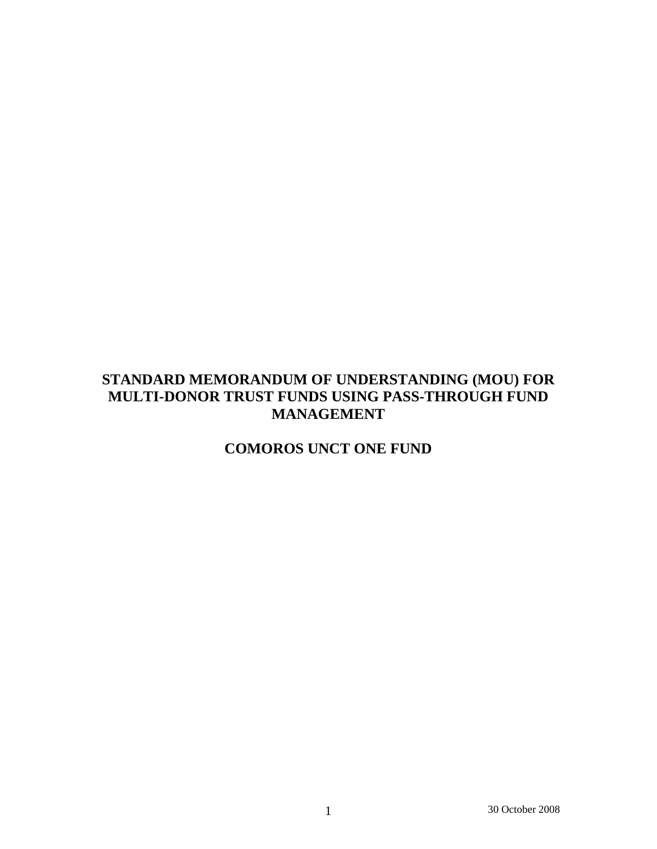# **STANDARD MEMORANDUM OF UNDERSTANDING (MOU) FOR MULTI-DONOR TRUST FUNDS USING PASS-THROUGH FUND MANAGEMENT**

# **COMOROS UNCT ONE FUND**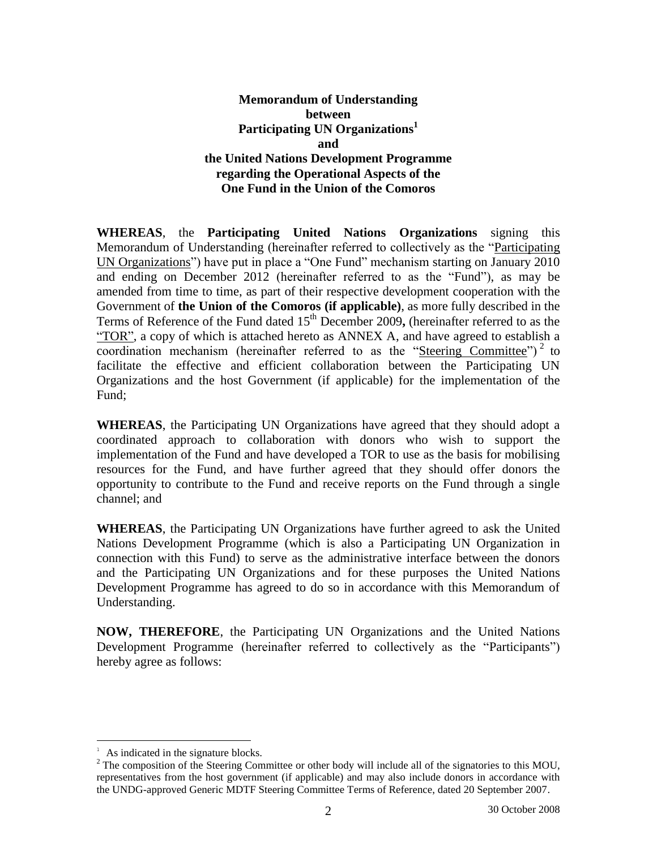# **Memorandum of Understanding between Participating UN Organizations 1 and the United Nations Development Programme regarding the Operational Aspects of the One Fund in the Union of the Comoros**

**WHEREAS**, the **Participating United Nations Organizations** signing this Memorandum of Understanding (hereinafter referred to collectively as the "Participating UN Organizations") have put in place a "One Fund" mechanism starting on January 2010 and ending on December 2012 (hereinafter referred to as the "Fund"), as may be amended from time to time, as part of their respective development cooperation with the Government of **the Union of the Comoros (if applicable)**, as more fully described in the Terms of Reference of the Fund dated 15<sup>th</sup> December 2009, (hereinafter referred to as the "TOR", a copy of which is attached hereto as ANNEX A, and have agreed to establish a coordination mechanism (hereinafter referred to as the "Steering Committee")<sup>2</sup> to facilitate the effective and efficient collaboration between the Participating UN Organizations and the host Government (if applicable) for the implementation of the Fund;

**WHEREAS**, the Participating UN Organizations have agreed that they should adopt a coordinated approach to collaboration with donors who wish to support the implementation of the Fund and have developed a TOR to use as the basis for mobilising resources for the Fund, and have further agreed that they should offer donors the opportunity to contribute to the Fund and receive reports on the Fund through a single channel; and

**WHEREAS**, the Participating UN Organizations have further agreed to ask the United Nations Development Programme (which is also a Participating UN Organization in connection with this Fund) to serve as the administrative interface between the donors and the Participating UN Organizations and for these purposes the United Nations Development Programme has agreed to do so in accordance with this Memorandum of Understanding.

**NOW, THEREFORE**, the Participating UN Organizations and the United Nations Development Programme (hereinafter referred to collectively as the "Participants") hereby agree as follows:

 $\overline{a}$ 

 $A<sup>1</sup>$  As indicated in the signature blocks.

<sup>&</sup>lt;sup>2</sup> The composition of the Steering Committee or other body will include all of the signatories to this MOU, representatives from the host government (if applicable) and may also include donors in accordance with the UNDG-approved Generic MDTF Steering Committee Terms of Reference, dated 20 September 2007.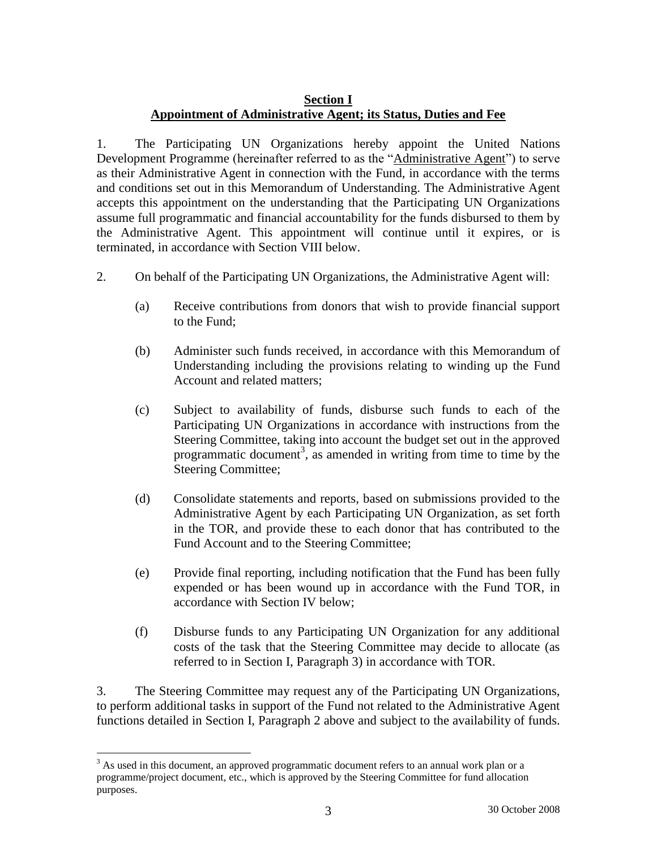# **Section I Appointment of Administrative Agent; its Status, Duties and Fee**

1. The Participating UN Organizations hereby appoint the United Nations Development Programme (hereinafter referred to as the "Administrative Agent") to serve as their Administrative Agent in connection with the Fund, in accordance with the terms and conditions set out in this Memorandum of Understanding. The Administrative Agent accepts this appointment on the understanding that the Participating UN Organizations assume full programmatic and financial accountability for the funds disbursed to them by the Administrative Agent. This appointment will continue until it expires, or is terminated, in accordance with Section VIII below.

- 2. On behalf of the Participating UN Organizations, the Administrative Agent will:
	- (a) Receive contributions from donors that wish to provide financial support to the Fund;
	- (b) Administer such funds received, in accordance with this Memorandum of Understanding including the provisions relating to winding up the Fund Account and related matters;
	- (c) Subject to availability of funds, disburse such funds to each of the Participating UN Organizations in accordance with instructions from the Steering Committee, taking into account the budget set out in the approved programmatic document<sup>3</sup>, as amended in writing from time to time by the Steering Committee;
	- (d) Consolidate statements and reports, based on submissions provided to the Administrative Agent by each Participating UN Organization, as set forth in the TOR, and provide these to each donor that has contributed to the Fund Account and to the Steering Committee;
	- (e) Provide final reporting, including notification that the Fund has been fully expended or has been wound up in accordance with the Fund TOR, in accordance with Section IV below;
	- (f) Disburse funds to any Participating UN Organization for any additional costs of the task that the Steering Committee may decide to allocate (as referred to in Section I, Paragraph 3) in accordance with TOR.

3. The Steering Committee may request any of the Participating UN Organizations, to perform additional tasks in support of the Fund not related to the Administrative Agent functions detailed in Section I, Paragraph 2 above and subject to the availability of funds.

 $\overline{a}$ <sup>3</sup> As used in this document, an approved programmatic document refers to an annual work plan or a programme/project document, etc., which is approved by the Steering Committee for fund allocation purposes.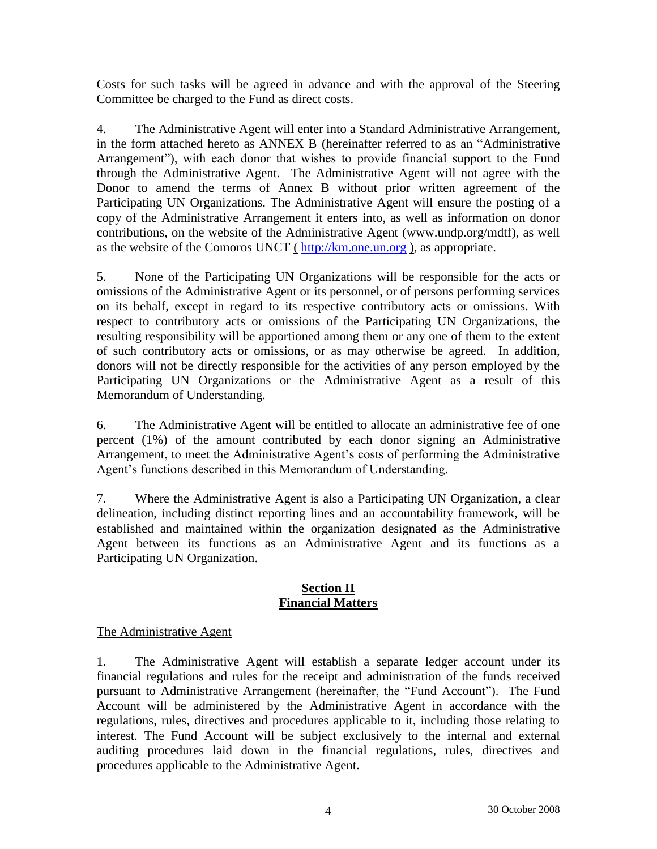Costs for such tasks will be agreed in advance and with the approval of the Steering Committee be charged to the Fund as direct costs.

4. The Administrative Agent will enter into a Standard Administrative Arrangement, in the form attached hereto as ANNEX B (hereinafter referred to as an "Administrative Arrangement"), with each donor that wishes to provide financial support to the Fund through the Administrative Agent. The Administrative Agent will not agree with the Donor to amend the terms of Annex B without prior written agreement of the Participating UN Organizations. The Administrative Agent will ensure the posting of a copy of the Administrative Arrangement it enters into, as well as information on donor contributions, on the website of the Administrative Agent (www.undp.org/mdtf), as well as the website of the Comoros UNCT ([http://km.one.un.org](http://km.one.un.org/)), as appropriate.

5. None of the Participating UN Organizations will be responsible for the acts or omissions of the Administrative Agent or its personnel, or of persons performing services on its behalf, except in regard to its respective contributory acts or omissions. With respect to contributory acts or omissions of the Participating UN Organizations, the resulting responsibility will be apportioned among them or any one of them to the extent of such contributory acts or omissions, or as may otherwise be agreed. In addition, donors will not be directly responsible for the activities of any person employed by the Participating UN Organizations or the Administrative Agent as a result of this Memorandum of Understanding.

6. The Administrative Agent will be entitled to allocate an administrative fee of one percent (1%) of the amount contributed by each donor signing an Administrative Arrangement, to meet the Administrative Agent's costs of performing the Administrative Agent's functions described in this Memorandum of Understanding.

7. Where the Administrative Agent is also a Participating UN Organization, a clear delineation, including distinct reporting lines and an accountability framework, will be established and maintained within the organization designated as the Administrative Agent between its functions as an Administrative Agent and its functions as a Participating UN Organization.

### **Section II Financial Matters**

# The Administrative Agent

1. The Administrative Agent will establish a separate ledger account under its financial regulations and rules for the receipt and administration of the funds received pursuant to Administrative Arrangement (hereinafter, the "Fund Account"). The Fund Account will be administered by the Administrative Agent in accordance with the regulations, rules, directives and procedures applicable to it, including those relating to interest. The Fund Account will be subject exclusively to the internal and external auditing procedures laid down in the financial regulations, rules, directives and procedures applicable to the Administrative Agent.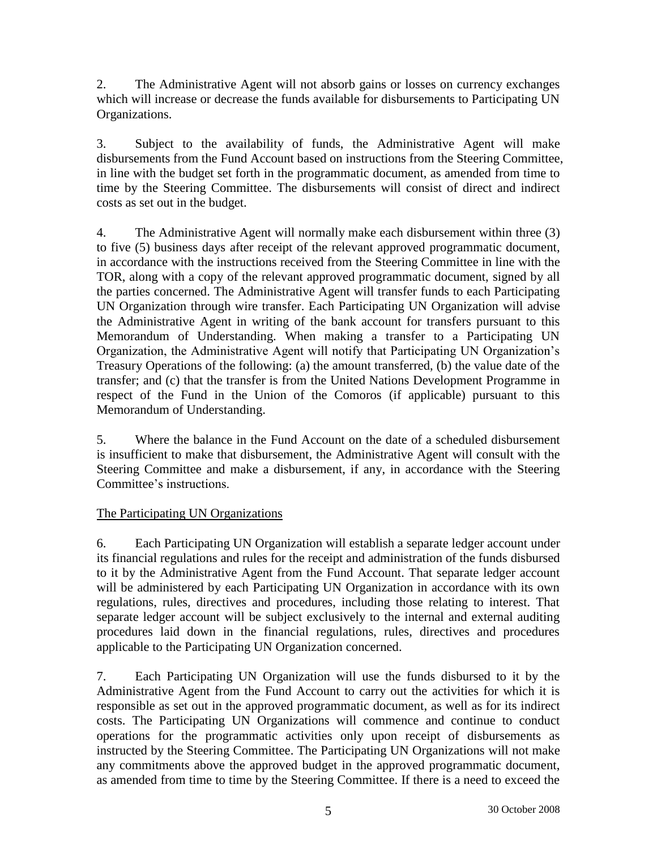2. The Administrative Agent will not absorb gains or losses on currency exchanges which will increase or decrease the funds available for disbursements to Participating UN Organizations.

3. Subject to the availability of funds, the Administrative Agent will make disbursements from the Fund Account based on instructions from the Steering Committee, in line with the budget set forth in the programmatic document, as amended from time to time by the Steering Committee. The disbursements will consist of direct and indirect costs as set out in the budget.

4. The Administrative Agent will normally make each disbursement within three (3) to five (5) business days after receipt of the relevant approved programmatic document, in accordance with the instructions received from the Steering Committee in line with the TOR, along with a copy of the relevant approved programmatic document, signed by all the parties concerned. The Administrative Agent will transfer funds to each Participating UN Organization through wire transfer. Each Participating UN Organization will advise the Administrative Agent in writing of the bank account for transfers pursuant to this Memorandum of Understanding. When making a transfer to a Participating UN Organization, the Administrative Agent will notify that Participating UN Organization's Treasury Operations of the following: (a) the amount transferred, (b) the value date of the transfer; and (c) that the transfer is from the United Nations Development Programme in respect of the Fund in the Union of the Comoros (if applicable) pursuant to this Memorandum of Understanding.

5. Where the balance in the Fund Account on the date of a scheduled disbursement is insufficient to make that disbursement, the Administrative Agent will consult with the Steering Committee and make a disbursement, if any, in accordance with the Steering Committee's instructions.

# The Participating UN Organizations

6. Each Participating UN Organization will establish a separate ledger account under its financial regulations and rules for the receipt and administration of the funds disbursed to it by the Administrative Agent from the Fund Account. That separate ledger account will be administered by each Participating UN Organization in accordance with its own regulations, rules, directives and procedures, including those relating to interest. That separate ledger account will be subject exclusively to the internal and external auditing procedures laid down in the financial regulations, rules, directives and procedures applicable to the Participating UN Organization concerned.

7. Each Participating UN Organization will use the funds disbursed to it by the Administrative Agent from the Fund Account to carry out the activities for which it is responsible as set out in the approved programmatic document, as well as for its indirect costs. The Participating UN Organizations will commence and continue to conduct operations for the programmatic activities only upon receipt of disbursements as instructed by the Steering Committee. The Participating UN Organizations will not make any commitments above the approved budget in the approved programmatic document, as amended from time to time by the Steering Committee. If there is a need to exceed the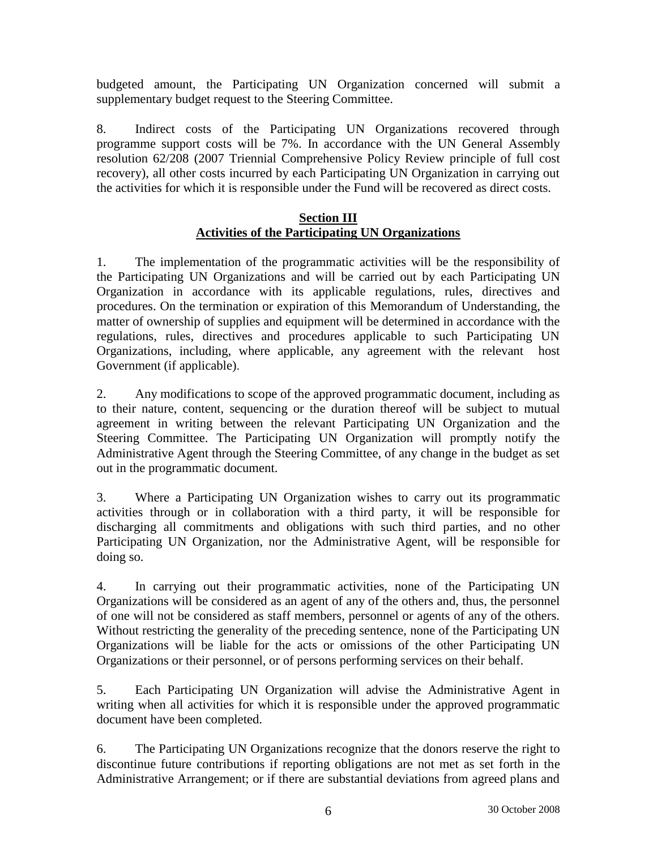budgeted amount, the Participating UN Organization concerned will submit a supplementary budget request to the Steering Committee.

8. Indirect costs of the Participating UN Organizations recovered through programme support costs will be 7%. In accordance with the UN General Assembly resolution 62/208 (2007 Triennial Comprehensive Policy Review principle of full cost recovery), all other costs incurred by each Participating UN Organization in carrying out the activities for which it is responsible under the Fund will be recovered as direct costs.

#### **Section III Activities of the Participating UN Organizations**

1. The implementation of the programmatic activities will be the responsibility of the Participating UN Organizations and will be carried out by each Participating UN Organization in accordance with its applicable regulations, rules, directives and procedures. On the termination or expiration of this Memorandum of Understanding, the matter of ownership of supplies and equipment will be determined in accordance with the regulations, rules, directives and procedures applicable to such Participating UN Organizations, including, where applicable, any agreement with the relevant host Government (if applicable).

2. Any modifications to scope of the approved programmatic document, including as to their nature, content, sequencing or the duration thereof will be subject to mutual agreement in writing between the relevant Participating UN Organization and the Steering Committee. The Participating UN Organization will promptly notify the Administrative Agent through the Steering Committee, of any change in the budget as set out in the programmatic document.

3. Where a Participating UN Organization wishes to carry out its programmatic activities through or in collaboration with a third party, it will be responsible for discharging all commitments and obligations with such third parties, and no other Participating UN Organization, nor the Administrative Agent, will be responsible for doing so.

4. In carrying out their programmatic activities, none of the Participating UN Organizations will be considered as an agent of any of the others and, thus, the personnel of one will not be considered as staff members, personnel or agents of any of the others. Without restricting the generality of the preceding sentence, none of the Participating UN Organizations will be liable for the acts or omissions of the other Participating UN Organizations or their personnel, or of persons performing services on their behalf.

5. Each Participating UN Organization will advise the Administrative Agent in writing when all activities for which it is responsible under the approved programmatic document have been completed.

6. The Participating UN Organizations recognize that the donors reserve the right to discontinue future contributions if reporting obligations are not met as set forth in the Administrative Arrangement; or if there are substantial deviations from agreed plans and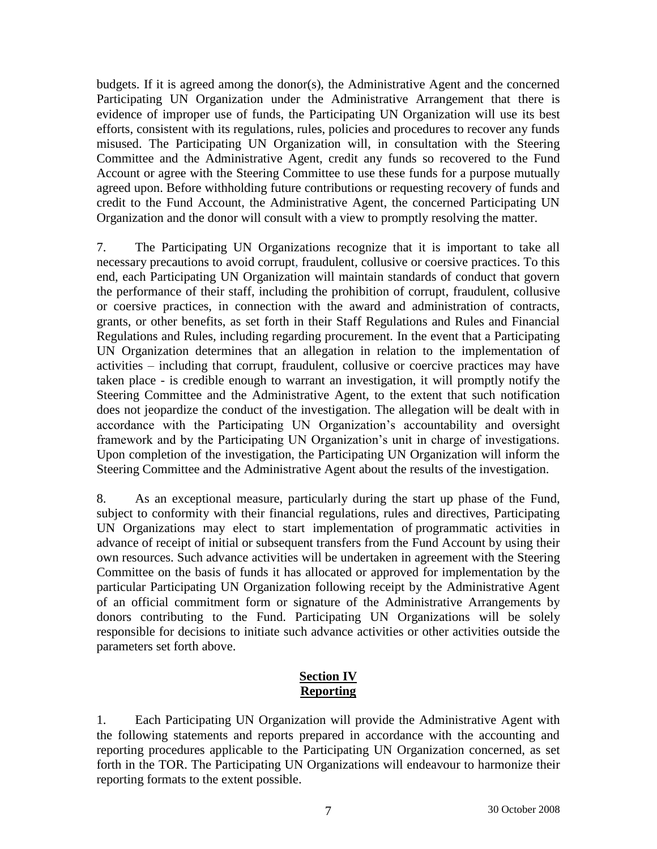budgets. If it is agreed among the donor(s), the Administrative Agent and the concerned Participating UN Organization under the Administrative Arrangement that there is evidence of improper use of funds, the Participating UN Organization will use its best efforts, consistent with its regulations, rules, policies and procedures to recover any funds misused. The Participating UN Organization will, in consultation with the Steering Committee and the Administrative Agent, credit any funds so recovered to the Fund Account or agree with the Steering Committee to use these funds for a purpose mutually agreed upon. Before withholding future contributions or requesting recovery of funds and credit to the Fund Account, the Administrative Agent, the concerned Participating UN Organization and the donor will consult with a view to promptly resolving the matter.

7. The Participating UN Organizations recognize that it is important to take all necessary precautions to avoid corrupt, fraudulent, collusive or coersive practices. To this end, each Participating UN Organization will maintain standards of conduct that govern the performance of their staff, including the prohibition of corrupt, fraudulent, collusive or coersive practices, in connection with the award and administration of contracts, grants, or other benefits, as set forth in their Staff Regulations and Rules and Financial Regulations and Rules, including regarding procurement. In the event that a Participating UN Organization determines that an allegation in relation to the implementation of activities – including that corrupt, fraudulent, collusive or coercive practices may have taken place - is credible enough to warrant an investigation, it will promptly notify the Steering Committee and the Administrative Agent, to the extent that such notification does not jeopardize the conduct of the investigation. The allegation will be dealt with in accordance with the Participating UN Organization's accountability and oversight framework and by the Participating UN Organization's unit in charge of investigations. Upon completion of the investigation, the Participating UN Organization will inform the Steering Committee and the Administrative Agent about the results of the investigation.

8. As an exceptional measure, particularly during the start up phase of the Fund, subject to conformity with their financial regulations, rules and directives, Participating UN Organizations may elect to start implementation of programmatic activities in advance of receipt of initial or subsequent transfers from the Fund Account by using their own resources. Such advance activities will be undertaken in agreement with the Steering Committee on the basis of funds it has allocated or approved for implementation by the particular Participating UN Organization following receipt by the Administrative Agent of an official commitment form or signature of the Administrative Arrangements by donors contributing to the Fund. Participating UN Organizations will be solely responsible for decisions to initiate such advance activities or other activities outside the parameters set forth above.

# **Section IV Reporting**

1. Each Participating UN Organization will provide the Administrative Agent with the following statements and reports prepared in accordance with the accounting and reporting procedures applicable to the Participating UN Organization concerned, as set forth in the TOR. The Participating UN Organizations will endeavour to harmonize their reporting formats to the extent possible.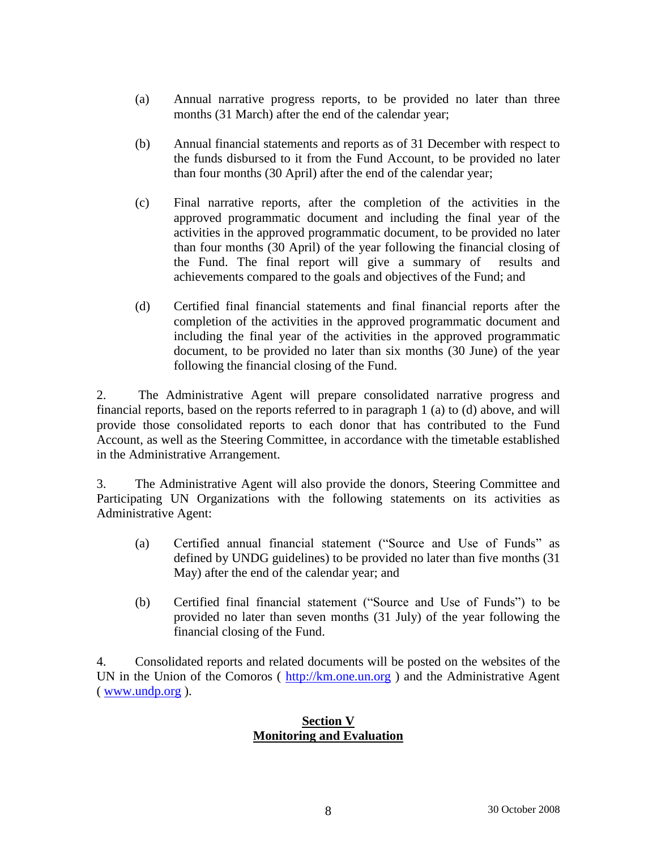- (a) Annual narrative progress reports, to be provided no later than three months (31 March) after the end of the calendar year;
- (b) Annual financial statements and reports as of 31 December with respect to the funds disbursed to it from the Fund Account, to be provided no later than four months (30 April) after the end of the calendar year;
- (c) Final narrative reports, after the completion of the activities in the approved programmatic document and including the final year of the activities in the approved programmatic document, to be provided no later than four months (30 April) of the year following the financial closing of the Fund. The final report will give a summary of results and achievements compared to the goals and objectives of the Fund; and
- (d) Certified final financial statements and final financial reports after the completion of the activities in the approved programmatic document and including the final year of the activities in the approved programmatic document, to be provided no later than six months (30 June) of the year following the financial closing of the Fund.

2. The Administrative Agent will prepare consolidated narrative progress and financial reports, based on the reports referred to in paragraph 1 (a) to (d) above, and will provide those consolidated reports to each donor that has contributed to the Fund Account, as well as the Steering Committee, in accordance with the timetable established in the Administrative Arrangement.

3. The Administrative Agent will also provide the donors, Steering Committee and Participating UN Organizations with the following statements on its activities as Administrative Agent:

- (a) Certified annual financial statement ("Source and Use of Funds" as defined by UNDG guidelines) to be provided no later than five months (31 May) after the end of the calendar year; and
- (b) Certified final financial statement ("Source and Use of Funds") to be provided no later than seven months (31 July) of the year following the financial closing of the Fund.

4. Consolidated reports and related documents will be posted on the websites of the UN in the Union of the Comoros  $(\frac{http://km.one.un.org}{http://km.one.un.org})$  $(\frac{http://km.one.un.org}{http://km.one.un.org})$  $(\frac{http://km.one.un.org}{http://km.one.un.org})$  and the Administrative Agent ( [www.undp.org](http://www.undp.org/) ).

### **Section V Monitoring and Evaluation**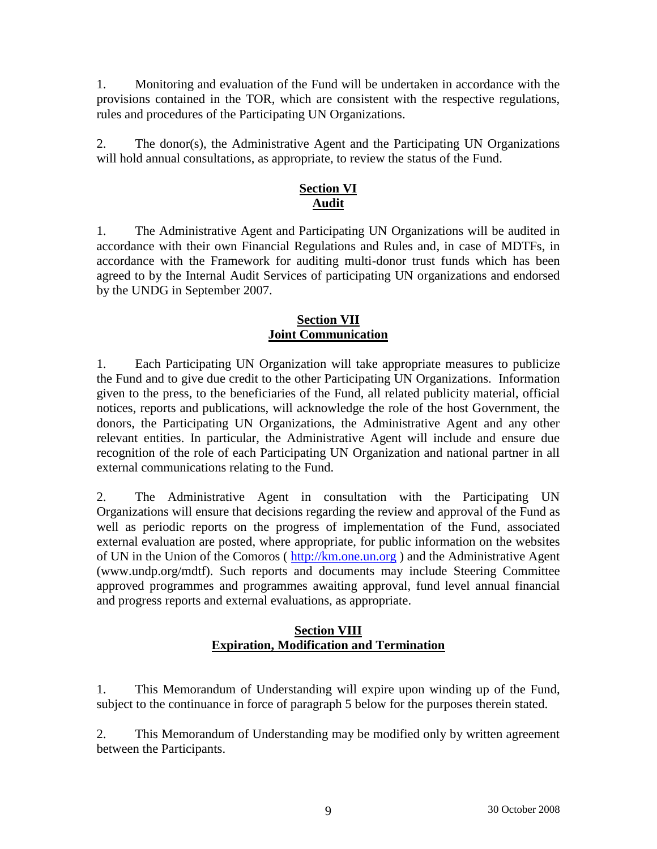1. Monitoring and evaluation of the Fund will be undertaken in accordance with the provisions contained in the TOR, which are consistent with the respective regulations, rules and procedures of the Participating UN Organizations.

2. The donor(s), the Administrative Agent and the Participating UN Organizations will hold annual consultations, as appropriate, to review the status of the Fund.

# **Section VI Audit**

1. The Administrative Agent and Participating UN Organizations will be audited in accordance with their own Financial Regulations and Rules and, in case of MDTFs, in accordance with the Framework for auditing multi-donor trust funds which has been agreed to by the Internal Audit Services of participating UN organizations and endorsed by the UNDG in September 2007.

## **Section VII Joint Communication**

1. Each Participating UN Organization will take appropriate measures to publicize the Fund and to give due credit to the other Participating UN Organizations. Information given to the press, to the beneficiaries of the Fund, all related publicity material, official notices, reports and publications, will acknowledge the role of the host Government, the donors, the Participating UN Organizations, the Administrative Agent and any other relevant entities. In particular, the Administrative Agent will include and ensure due recognition of the role of each Participating UN Organization and national partner in all external communications relating to the Fund.

2. The Administrative Agent in consultation with the Participating UN Organizations will ensure that decisions regarding the review and approval of the Fund as well as periodic reports on the progress of implementation of the Fund, associated external evaluation are posted, where appropriate, for public information on the websites of UN in the Union of the Comoros ( [http://km.one.un.org](http://km.one.un.org/) ) and the Administrative Agent (www.undp.org/mdtf). Such reports and documents may include Steering Committee approved programmes and programmes awaiting approval, fund level annual financial and progress reports and external evaluations, as appropriate.

# **Section VIII Expiration, Modification and Termination**

1. This Memorandum of Understanding will expire upon winding up of the Fund, subject to the continuance in force of paragraph 5 below for the purposes therein stated.

2. This Memorandum of Understanding may be modified only by written agreement between the Participants.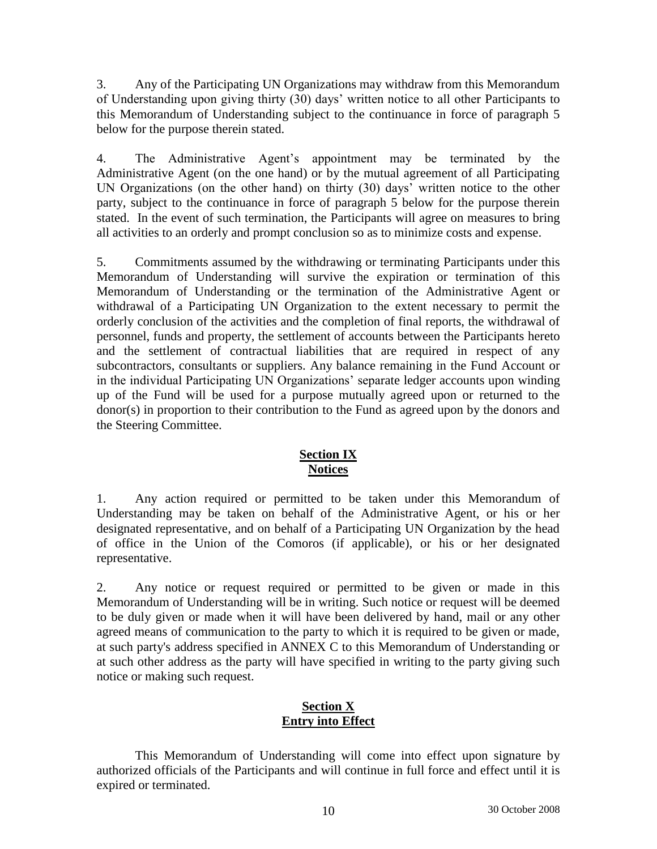3. Any of the Participating UN Organizations may withdraw from this Memorandum of Understanding upon giving thirty (30) days' written notice to all other Participants to this Memorandum of Understanding subject to the continuance in force of paragraph 5 below for the purpose therein stated.

4. The Administrative Agent's appointment may be terminated by the Administrative Agent (on the one hand) or by the mutual agreement of all Participating UN Organizations (on the other hand) on thirty (30) days' written notice to the other party, subject to the continuance in force of paragraph 5 below for the purpose therein stated. In the event of such termination, the Participants will agree on measures to bring all activities to an orderly and prompt conclusion so as to minimize costs and expense.

5. Commitments assumed by the withdrawing or terminating Participants under this Memorandum of Understanding will survive the expiration or termination of this Memorandum of Understanding or the termination of the Administrative Agent or withdrawal of a Participating UN Organization to the extent necessary to permit the orderly conclusion of the activities and the completion of final reports, the withdrawal of personnel, funds and property, the settlement of accounts between the Participants hereto and the settlement of contractual liabilities that are required in respect of any subcontractors, consultants or suppliers. Any balance remaining in the Fund Account or in the individual Participating UN Organizations' separate ledger accounts upon winding up of the Fund will be used for a purpose mutually agreed upon or returned to the donor(s) in proportion to their contribution to the Fund as agreed upon by the donors and the Steering Committee.

# **Section IX Notices**

1. Any action required or permitted to be taken under this Memorandum of Understanding may be taken on behalf of the Administrative Agent, or his or her designated representative, and on behalf of a Participating UN Organization by the head of office in the Union of the Comoros (if applicable), or his or her designated representative.

2. Any notice or request required or permitted to be given or made in this Memorandum of Understanding will be in writing. Such notice or request will be deemed to be duly given or made when it will have been delivered by hand, mail or any other agreed means of communication to the party to which it is required to be given or made, at such party's address specified in ANNEX C to this Memorandum of Understanding or at such other address as the party will have specified in writing to the party giving such notice or making such request.

# **Section X Entry into Effect**

This Memorandum of Understanding will come into effect upon signature by authorized officials of the Participants and will continue in full force and effect until it is expired or terminated.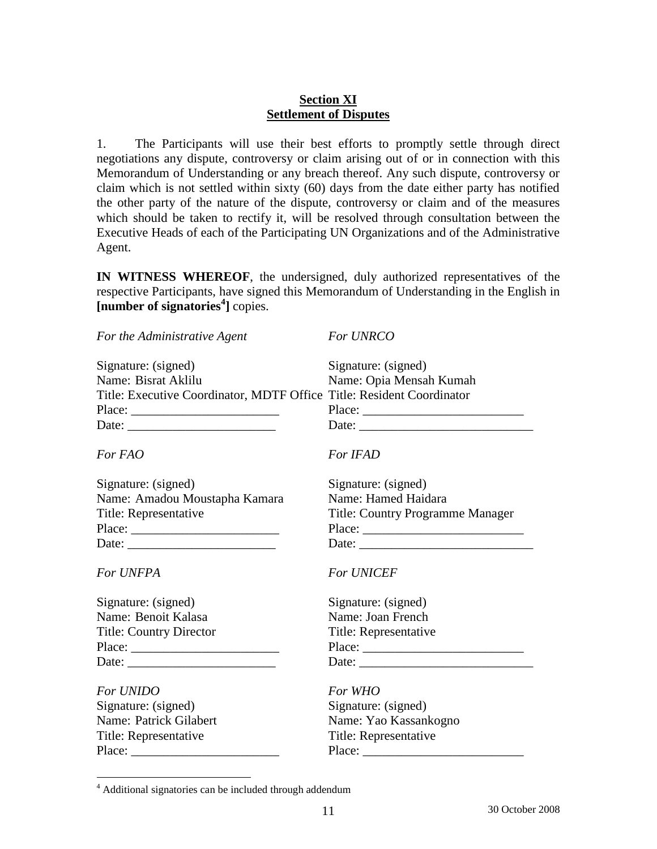## **Section XI Settlement of Disputes**

1. The Participants will use their best efforts to promptly settle through direct negotiations any dispute, controversy or claim arising out of or in connection with this Memorandum of Understanding or any breach thereof. Any such dispute, controversy or claim which is not settled within sixty (60) days from the date either party has notified the other party of the nature of the dispute, controversy or claim and of the measures which should be taken to rectify it, will be resolved through consultation between the Executive Heads of each of the Participating UN Organizations and of the Administrative Agent.

**IN WITNESS WHEREOF**, the undersigned, duly authorized representatives of the respective Participants, have signed this Memorandum of Understanding in the English in **[number of signatories<sup>4</sup> ]** copies.

| For the Administrative Agent                                          | For UNRCO                                                                                                                                                                                                                      |
|-----------------------------------------------------------------------|--------------------------------------------------------------------------------------------------------------------------------------------------------------------------------------------------------------------------------|
| Signature: (signed)                                                   | Signature: (signed)                                                                                                                                                                                                            |
| Name: Bisrat Aklilu                                                   | Name: Opia Mensah Kumah                                                                                                                                                                                                        |
| Title: Executive Coordinator, MDTF Office Title: Resident Coordinator |                                                                                                                                                                                                                                |
|                                                                       |                                                                                                                                                                                                                                |
|                                                                       | Date: the contract of the contract of the contract of the contract of the contract of the contract of the contract of the contract of the contract of the contract of the contract of the contract of the contract of the cont |
| For FAO                                                               | For IFAD                                                                                                                                                                                                                       |
| Signature: (signed)                                                   | Signature: (signed)                                                                                                                                                                                                            |
| Name: Amadou Moustapha Kamara                                         | Name: Hamed Haidara                                                                                                                                                                                                            |
| Title: Representative                                                 | <b>Title: Country Programme Manager</b>                                                                                                                                                                                        |
| Place:                                                                |                                                                                                                                                                                                                                |
|                                                                       |                                                                                                                                                                                                                                |
| <b>For UNFPA</b>                                                      | <b>For UNICEF</b>                                                                                                                                                                                                              |
| Signature: (signed)                                                   | Signature: (signed)                                                                                                                                                                                                            |
| Name: Benoit Kalasa                                                   | Name: Joan French                                                                                                                                                                                                              |
| <b>Title: Country Director</b>                                        | Title: Representative                                                                                                                                                                                                          |
|                                                                       |                                                                                                                                                                                                                                |
|                                                                       | Date:                                                                                                                                                                                                                          |
| <b>For UNIDO</b>                                                      | For WHO                                                                                                                                                                                                                        |
| Signature: (signed)                                                   | Signature: (signed)                                                                                                                                                                                                            |
| Name: Patrick Gilabert                                                | Name: Yao Kassankogno                                                                                                                                                                                                          |
| Title: Representative                                                 | Title: Representative                                                                                                                                                                                                          |
|                                                                       |                                                                                                                                                                                                                                |
|                                                                       |                                                                                                                                                                                                                                |

 $\overline{a}$ 

<sup>4</sup> Additional signatories can be included through addendum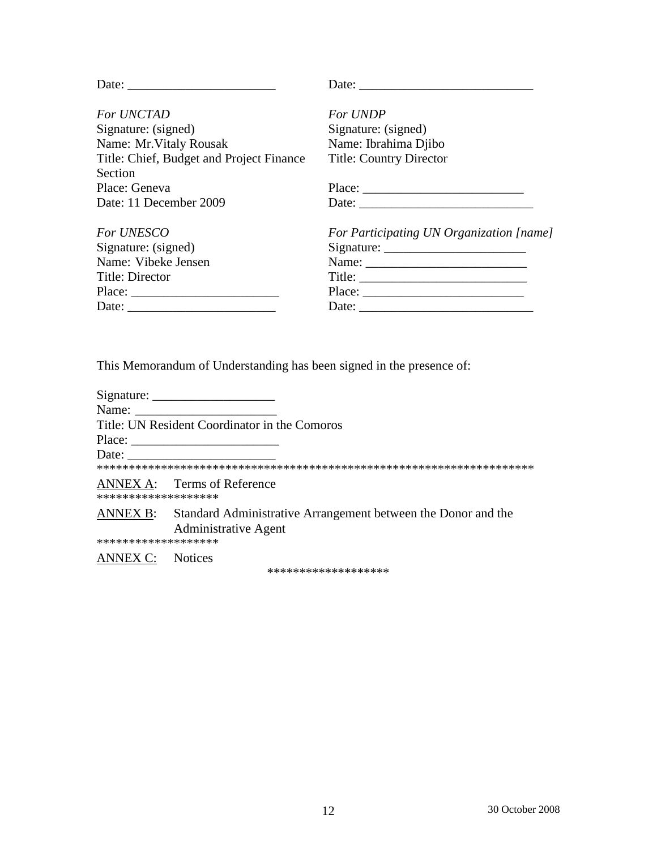| Date:                                    | Date: $\qquad \qquad$                                                                                                                                                                                                                                                                                                                                                                                                                             |
|------------------------------------------|---------------------------------------------------------------------------------------------------------------------------------------------------------------------------------------------------------------------------------------------------------------------------------------------------------------------------------------------------------------------------------------------------------------------------------------------------|
| <b>For UNCTAD</b>                        | For UNDP                                                                                                                                                                                                                                                                                                                                                                                                                                          |
| Signature: (signed)                      | Signature: (signed)                                                                                                                                                                                                                                                                                                                                                                                                                               |
| Name: Mr. Vitaly Rousak                  | Name: Ibrahima Djibo                                                                                                                                                                                                                                                                                                                                                                                                                              |
| Title: Chief, Budget and Project Finance | <b>Title: Country Director</b>                                                                                                                                                                                                                                                                                                                                                                                                                    |
| Section                                  |                                                                                                                                                                                                                                                                                                                                                                                                                                                   |
| Place: Geneva                            | Place: $\frac{1}{\sqrt{1-\frac{1}{2}} \cdot \frac{1}{2} \cdot \frac{1}{2} \cdot \frac{1}{2} \cdot \frac{1}{2} \cdot \frac{1}{2} \cdot \frac{1}{2} \cdot \frac{1}{2} \cdot \frac{1}{2} \cdot \frac{1}{2} \cdot \frac{1}{2} \cdot \frac{1}{2} \cdot \frac{1}{2} \cdot \frac{1}{2} \cdot \frac{1}{2} \cdot \frac{1}{2} \cdot \frac{1}{2} \cdot \frac{1}{2} \cdot \frac{1}{2} \cdot \frac{1}{2} \cdot \frac{1}{2} \cdot \frac{1}{2} \cdot \frac{1}{2$ |
| Date: 11 December 2009                   |                                                                                                                                                                                                                                                                                                                                                                                                                                                   |
| <b>For UNESCO</b>                        | For Participating UN Organization [name]                                                                                                                                                                                                                                                                                                                                                                                                          |
| Signature: (signed)                      |                                                                                                                                                                                                                                                                                                                                                                                                                                                   |
| Name: Vibeke Jensen                      |                                                                                                                                                                                                                                                                                                                                                                                                                                                   |
| Title: Director                          | Title:                                                                                                                                                                                                                                                                                                                                                                                                                                            |
|                                          | Place:                                                                                                                                                                                                                                                                                                                                                                                                                                            |
|                                          |                                                                                                                                                                                                                                                                                                                                                                                                                                                   |

This Memorandum of Understanding has been signed in the presence of:

| Name:                   |                                                                                                       |
|-------------------------|-------------------------------------------------------------------------------------------------------|
|                         | Title: UN Resident Coordinator in the Comoros                                                         |
|                         | Place:                                                                                                |
| Date:                   |                                                                                                       |
|                         |                                                                                                       |
| *******************     | ANNEX A: Terms of Reference                                                                           |
|                         | ANNEX B: Standard Administrative Arrangement between the Donor and the<br><b>Administrative Agent</b> |
| *******************     |                                                                                                       |
| <b>ANNEX C:</b> Notices |                                                                                                       |

\*\*\*\*\*\*\*\*\*\*\*\*\*\*\*\*\*\*\*